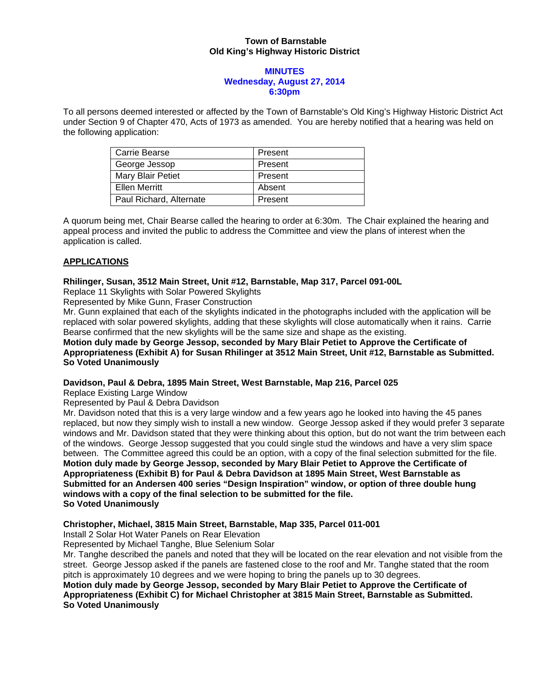## **Town of Barnstable Old King's Highway Historic District**

### **MINUTES Wednesday, August 27, 2014 6:30pm**

To all persons deemed interested or affected by the Town of Barnstable's Old King's Highway Historic District Act under Section 9 of Chapter 470, Acts of 1973 as amended. You are hereby notified that a hearing was held on the following application:

| Carrie Bearse           | Present |
|-------------------------|---------|
| George Jessop           | Present |
| Mary Blair Petiet       | Present |
| Ellen Merritt           | Absent  |
| Paul Richard, Alternate | Present |

A quorum being met, Chair Bearse called the hearing to order at 6:30m. The Chair explained the hearing and appeal process and invited the public to address the Committee and view the plans of interest when the application is called.

# **APPLICATIONS**

## **Rhilinger, Susan, 3512 Main Street, Unit #12, Barnstable, Map 317, Parcel 091-00L**

Replace 11 Skylights with Solar Powered Skylights

Represented by Mike Gunn, Fraser Construction

Mr. Gunn explained that each of the skylights indicated in the photographs included with the application will be replaced with solar powered skylights, adding that these skylights will close automatically when it rains. Carrie Bearse confirmed that the new skylights will be the same size and shape as the existing.

### **Motion duly made by George Jessop, seconded by Mary Blair Petiet to Approve the Certificate of Appropriateness (Exhibit A) for Susan Rhilinger at 3512 Main Street, Unit #12, Barnstable as Submitted. So Voted Unanimously**

### **Davidson, Paul & Debra, 1895 Main Street, West Barnstable, Map 216, Parcel 025**

Replace Existing Large Window

Represented by Paul & Debra Davidson

Mr. Davidson noted that this is a very large window and a few years ago he looked into having the 45 panes replaced, but now they simply wish to install a new window. George Jessop asked if they would prefer 3 separate windows and Mr. Davidson stated that they were thinking about this option, but do not want the trim between each of the windows. George Jessop suggested that you could single stud the windows and have a very slim space between. The Committee agreed this could be an option, with a copy of the final selection submitted for the file. **Motion duly made by George Jessop, seconded by Mary Blair Petiet to Approve the Certificate of Appropriateness (Exhibit B) for Paul & Debra Davidson at 1895 Main Street, West Barnstable as Submitted for an Andersen 400 series "Design Inspiration" window, or option of three double hung windows with a copy of the final selection to be submitted for the file. So Voted Unanimously** 

# **Christopher, Michael, 3815 Main Street, Barnstable, Map 335, Parcel 011-001**

Install 2 Solar Hot Water Panels on Rear Elevation

Represented by Michael Tanghe, Blue Selenium Solar

Mr. Tanghe described the panels and noted that they will be located on the rear elevation and not visible from the street. George Jessop asked if the panels are fastened close to the roof and Mr. Tanghe stated that the room pitch is approximately 10 degrees and we were hoping to bring the panels up to 30 degrees.

**Motion duly made by George Jessop, seconded by Mary Blair Petiet to Approve the Certificate of Appropriateness (Exhibit C) for Michael Christopher at 3815 Main Street, Barnstable as Submitted. So Voted Unanimously**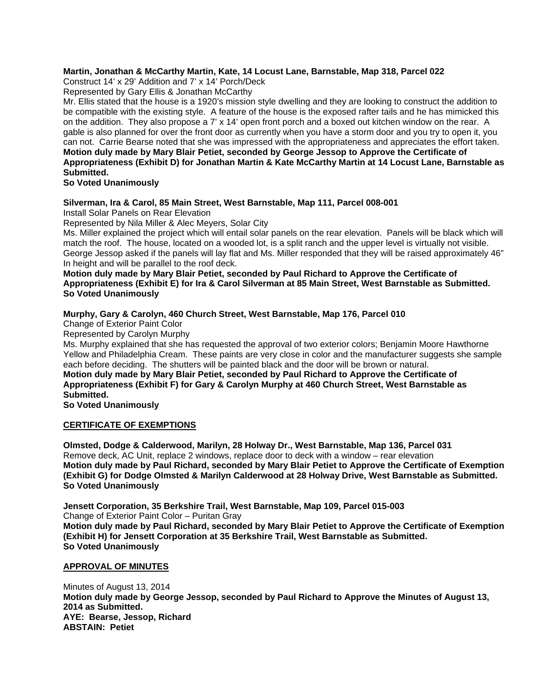## **Martin, Jonathan & McCarthy Martin, Kate, 14 Locust Lane, Barnstable, Map 318, Parcel 022**

Construct 14' x 29' Addition and 7' x 14' Porch/Deck

Represented by Gary Ellis & Jonathan McCarthy

Mr. Ellis stated that the house is a 1920's mission style dwelling and they are looking to construct the addition to be compatible with the existing style. A feature of the house is the exposed rafter tails and he has mimicked this on the addition. They also propose a 7' x 14' open front porch and a boxed out kitchen window on the rear. A gable is also planned for over the front door as currently when you have a storm door and you try to open it, you can not. Carrie Bearse noted that she was impressed with the appropriateness and appreciates the effort taken. **Motion duly made by Mary Blair Petiet, seconded by George Jessop to Approve the Certificate of Appropriateness (Exhibit D) for Jonathan Martin & Kate McCarthy Martin at 14 Locust Lane, Barnstable as Submitted.** 

**So Voted Unanimously** 

### **Silverman, Ira & Carol, 85 Main Street, West Barnstable, Map 111, Parcel 008-001**

Install Solar Panels on Rear Elevation

Represented by Nila Miller & Alec Meyers, Solar City

Ms. Miller explained the project which will entail solar panels on the rear elevation. Panels will be black which will match the roof. The house, located on a wooded lot, is a split ranch and the upper level is virtually not visible. George Jessop asked if the panels will lay flat and Ms. Miller responded that they will be raised approximately 46" In height and will be parallel to the roof deck.

**Motion duly made by Mary Blair Petiet, seconded by Paul Richard to Approve the Certificate of Appropriateness (Exhibit E) for Ira & Carol Silverman at 85 Main Street, West Barnstable as Submitted. So Voted Unanimously** 

## **Murphy, Gary & Carolyn, 460 Church Street, West Barnstable, Map 176, Parcel 010**

Change of Exterior Paint Color

Represented by Carolyn Murphy

Ms. Murphy explained that she has requested the approval of two exterior colors; Benjamin Moore Hawthorne Yellow and Philadelphia Cream. These paints are very close in color and the manufacturer suggests she sample each before deciding. The shutters will be painted black and the door will be brown or natural. **Motion duly made by Mary Blair Petiet, seconded by Paul Richard to Approve the Certificate of Appropriateness (Exhibit F) for Gary & Carolyn Murphy at 460 Church Street, West Barnstable as Submitted.** 

**So Voted Unanimously**

### **CERTIFICATE OF EXEMPTIONS**

**Olmsted, Dodge & Calderwood, Marilyn, 28 Holway Dr., West Barnstable, Map 136, Parcel 031**  Remove deck, AC Unit, replace 2 windows, replace door to deck with a window – rear elevation **Motion duly made by Paul Richard, seconded by Mary Blair Petiet to Approve the Certificate of Exemption (Exhibit G) for Dodge Olmsted & Marilyn Calderwood at 28 Holway Drive, West Barnstable as Submitted. So Voted Unanimously** 

**Jensett Corporation, 35 Berkshire Trail, West Barnstable, Map 109, Parcel 015-003**  Change of Exterior Paint Color – Puritan Gray **Motion duly made by Paul Richard, seconded by Mary Blair Petiet to Approve the Certificate of Exemption (Exhibit H) for Jensett Corporation at 35 Berkshire Trail, West Barnstable as Submitted. So Voted Unanimously** 

### **APPROVAL OF MINUTES**

Minutes of August 13, 2014 **Motion duly made by George Jessop, seconded by Paul Richard to Approve the Minutes of August 13, 2014 as Submitted. AYE: Bearse, Jessop, Richard ABSTAIN: Petiet**